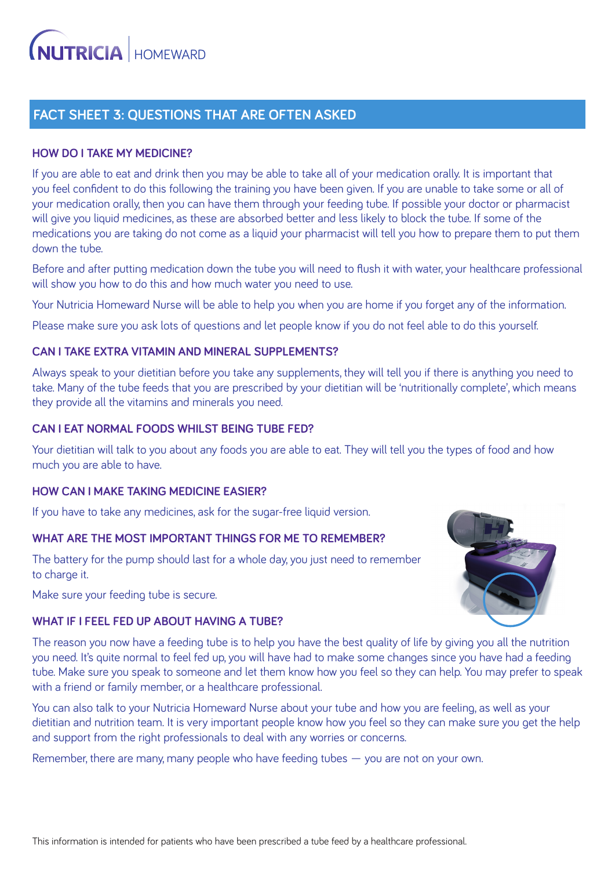# **FACT SHEET 3: QUESTIONS THAT ARE OFTEN ASKED**

## **HOW DO I TAKE MY MEDICINE?**

If you are able to eat and drink then you may be able to take all of your medication orally. It is important that you feel confident to do this following the training you have been given. If you are unable to take some or all of your medication orally, then you can have them through your feeding tube. If possible your doctor or pharmacist will give you liquid medicines, as these are absorbed better and less likely to block the tube. If some of the medications you are taking do not come as a liquid your pharmacist will tell you how to prepare them to put them down the tube.

Before and after putting medication down the tube you will need to flush it with water, your healthcare professional will show you how to do this and how much water you need to use.

Your Nutricia Homeward Nurse will be able to help you when you are home if you forget any of the information.

Please make sure you ask lots of questions and let people know if you do not feel able to do this yourself.

## **CAN I TAKE EXTRA VITAMIN AND MINERAL SUPPLEMENTS?**

Always speak to your dietitian before you take any supplements, they will tell you if there is anything you need to take. Many of the tube feeds that you are prescribed by your dietitian will be 'nutritionally complete', which means they provide all the vitamins and minerals you need.

## **CAN I EAT NORMAL FOODS WHILST BEING TUBE FED?**

Your dietitian will talk to you about any foods you are able to eat. They will tell you the types of food and how much you are able to have.

#### **HOW CAN I MAKE TAKING MEDICINE EASIER?**

If you have to take any medicines, ask for the sugar-free liquid version.

#### **WHAT ARE THE MOST IMPORTANT THINGS FOR ME TO REMEMBER?**

The battery for the pump should last for a whole day, you just need to remember to charge it.

Make sure your feeding tube is secure.

# **WHAT IF I FEEL FED UP ABOUT HAVING A TUBE?**



The reason you now have a feeding tube is to help you have the best quality of life by giving you all the nutrition you need. It's quite normal to feel fed up, you will have had to make some changes since you have had a feeding tube. Make sure you speak to someone and let them know how you feel so they can help. You may prefer to speak with a friend or family member, or a healthcare professional.

You can also talk to your Nutricia Homeward Nurse about your tube and how you are feeling, as well as your dietitian and nutrition team. It is very important people know how you feel so they can make sure you get the help and support from the right professionals to deal with any worries or concerns.

Remember, there are many, many people who have feeding tubes  $-$  you are not on your own.